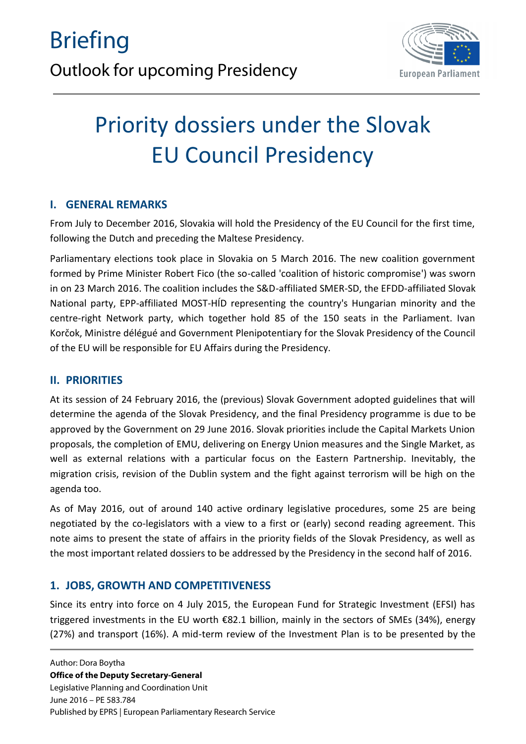

# Priority dossiers under the Slovak EU Council Presidency

# **I. GENERAL REMARKS**

From July to December 2016, Slovakia will hold the Presidency of the EU Council for the first time, following the Dutch and preceding the Maltese Presidency.

Parliamentary elections took place in Slovakia on 5 March 2016. The new coalition government formed by Prime Minister Robert Fico (the so-called 'coalition of historic compromise') was sworn in on 23 March 2016. The coalition includes the S&D-affiliated SMER-SD, the EFDD-affiliated Slovak National party, EPP-affiliated MOST-HÍD representing the country's Hungarian minority and the centre-right Network party, which together hold 85 of the 150 seats in the Parliament. Ivan Korčok, Ministre délégué and Government Plenipotentiary for the Slovak Presidency of the Council of the EU will be responsible for EU Affairs during the Presidency.

# **II. PRIORITIES**

At its session of 24 February 2016, the (previous) Slovak Government adopted guidelines that will determine the agenda of the Slovak Presidency, and the final Presidency programme is due to be approved by the Government on 29 June 2016. Slovak priorities include the Capital Markets Union proposals, the completion of EMU, delivering on Energy Union measures and the Single Market, as well as external relations with a particular focus on the Eastern Partnership. Inevitably, the migration crisis, revision of the Dublin system and the fight against terrorism will be high on the agenda too.

As of May 2016, out of around 140 active ordinary legislative procedures, some 25 are being negotiated by the co-legislators with a view to a first or (early) second reading agreement. This note aims to present the state of affairs in the priority fields of the Slovak Presidency, as well as the most important related dossiers to be addressed by the Presidency in the second half of 2016.

# **1. JOBS, GROWTH AND COMPETITIVENESS**

Since its entry into force on 4 July 2015, the European Fund for Strategic Investment (EFSI) has triggered investments in the EU worth €82.1 billion, mainly in the sectors of SMEs (34%), energy (27%) and transport (16%). A mid-term review of the Investment Plan is to be presented by the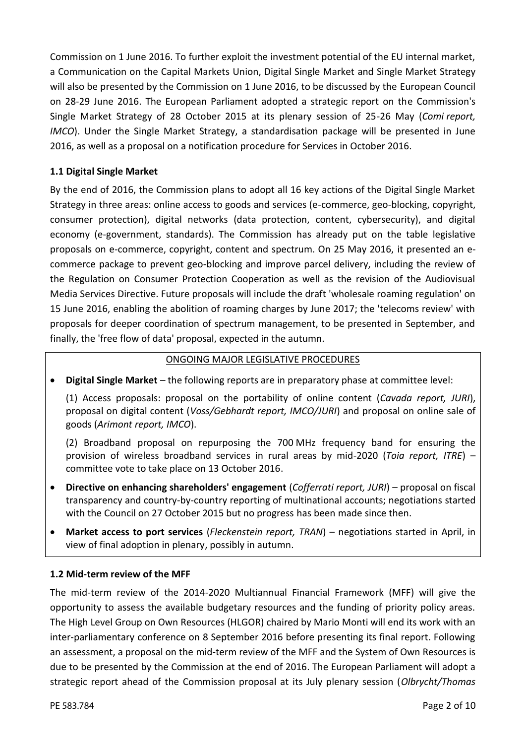Commission on 1 June 2016. To further exploit the investment potential of the EU internal market, a Communication on the Capital Markets Union, Digital Single Market and Single Market Strategy will also be presented by the Commission on 1 June 2016, to be discussed by the European Council on 28-29 June 2016. The European Parliament adopted a strategic report on the Commission's Single Market Strategy of 28 October 2015 at its plenary session of 25-26 May (*Comi report, IMCO*). Under the Single Market Strategy, a standardisation package will be presented in June 2016, as well as a proposal on a notification procedure for Services in October 2016.

## **1.1 Digital Single Market**

By the end of 2016, the Commission plans to adopt all 16 key actions of the Digital Single Market Strategy in three areas: online access to goods and services (e-commerce, geo-blocking, copyright, consumer protection), digital networks (data protection, content, cybersecurity), and digital economy (e-government, standards). The Commission has already put on the table legislative proposals on e-commerce, copyright, content and spectrum. On 25 May 2016, it presented an e commerce package to prevent geo-blocking and improve parcel delivery, including the review of the Regulation on Consumer Protection Cooperation as well as the revision of the Audiovisual Media Services Directive. Future proposals will include the draft 'wholesale roaming regulation' on 15 June 2016, enabling the abolition of roaming charges by June 2017; the 'telecoms review' with proposals for deeper coordination of spectrum management, to be presented in September, and finally, the 'free flow of data' proposal, expected in the autumn.

## ONGOING MAJOR LEGISLATIVE PROCEDURES

**Digital Single Market** – the following reports are in preparatory phase at committee level:

(1) Access proposals: proposal on the portability of online content (*Cavada report, JURI*), proposal on digital content (*Voss/Gebhardt report, IMCO/JURI*) and proposal on online sale of goods (*Arimont report, IMCO*).

(2) Broadband proposal on repurposing the 700 MHz frequency band for ensuring the provision of wireless broadband services in rural areas by mid-2020 (*Toia report, ITRE*) – committee vote to take place on 13 October 2016.

- **Directive on enhancing shareholders' engagement** (*Cofferrati report, JURI*) proposal on fiscal transparency and country-by-country reporting of multinational accounts; negotiations started with the Council on 27 October 2015 but no progress has been made since then.
- **Market access to port services** (*Fleckenstein report, TRAN*) negotiations started in April, in view of final adoption in plenary, possibly in autumn.

#### **1.2 Mid-term review of the MFF**

The mid-term review of the 2014-2020 Multiannual Financial Framework (MFF) will give the opportunity to assess the available budgetary resources and the funding of priority policy areas. The High Level Group on Own Resources (HLGOR) chaired by Mario Monti will end its work with an inter-parliamentary conference on 8 September 2016 before presenting its final report. Following an assessment, a proposal on the mid-term review of the MFF and the System of Own Resources is due to be presented by the Commission at the end of 2016. The European Parliament will adopt a strategic report ahead of the Commission proposal at its July plenary session (*Olbrycht/Thomas*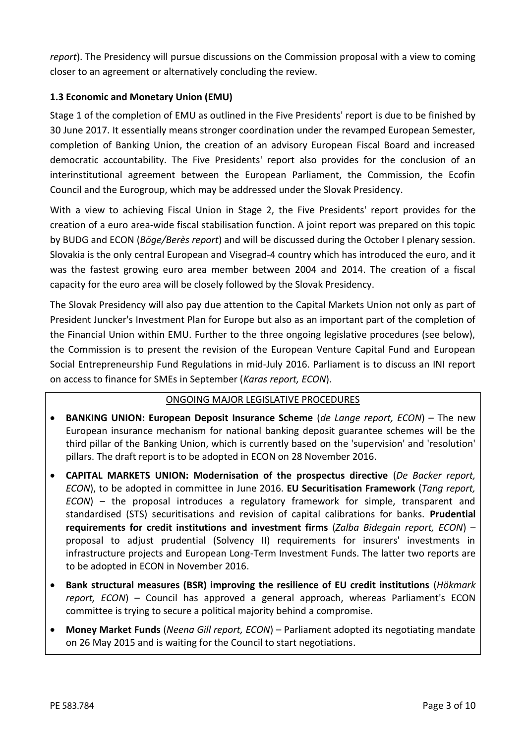*report*). The Presidency will pursue discussions on the Commission proposal with a view to coming closer to an agreement or alternatively concluding the review.

## **1.3 Economic and Monetary Union (EMU)**

Stage 1 of the completion of EMU as outlined in the Five Presidents' report is due to be finished by 30 June 2017. It essentially means stronger coordination under the revamped European Semester, completion of Banking Union, the creation of an advisory European Fiscal Board and increased democratic accountability. The Five Presidents' report also provides for the conclusion of an interinstitutional agreement between the European Parliament, the Commission, the Ecofin Council and the Eurogroup, which may be addressed under the Slovak Presidency.

With a view to achieving Fiscal Union in Stage 2, the Five Presidents' report provides for the creation of a euro area-wide fiscal stabilisation function. A joint report was prepared on this topic by BUDG and ECON (*Böge/Berès report*) and will be discussed during the October I plenary session. Slovakia is the only central European and Visegrad-4 country which has introduced the euro, and it was the fastest growing euro area member between 2004 and 2014. The creation of a fiscal capacity for the euro area will be closely followed by the Slovak Presidency.

The Slovak Presidency will also pay due attention to the Capital Markets Union not only as part of President Juncker's Investment Plan for Europe but also as an important part of the completion of the Financial Union within EMU. Further to the three ongoing legislative procedures (see below), the Commission is to present the revision of the European Venture Capital Fund and European Social Entrepreneurship Fund Regulations in mid-July 2016. Parliament is to discuss an INI report on access to finance for SMEs in September (*Karas report, ECON*).

## ONGOING MAJOR LEGISLATIVE PROCEDURES

- **BANKING UNION: European Deposit Insurance Scheme** (*de Lange report, ECON*) The new European insurance mechanism for national banking deposit guarantee schemes will be the third pillar of the Banking Union, which is currently based on the 'supervision' and 'resolution' pillars. The draft report is to be adopted in ECON on 28 November 2016.
- **CAPITAL MARKETS UNION: Modernisation of the prospectus directive** (*De Backer report, ECON*), to be adopted in committee in June 2016. **EU Securitisation Framework** (*Tang report, ECON*) – the proposal introduces a regulatory framework for simple, transparent and standardised (STS) securitisations and revision of capital calibrations for banks. **Prudential requirements for credit institutions and investment firms** (*Zalba Bidegain report, ECON*) – proposal to adjust prudential (Solvency II) requirements for insurers' investments in infrastructure projects and European Long-Term Investment Funds. The latter two reports are to be adopted in ECON in November 2016.
- **Bank structural measures (BSR) improving the resilience of EU credit institutions** (*Hökmark report, ECON*) – Council has approved a general approach, whereas Parliament's ECON committee is trying to secure a political majority behind a compromise.
- **Money Market Funds** (*Neena Gill report, ECON*) Parliament adopted its negotiating mandate on 26 May 2015 and is waiting for the Council to start negotiations.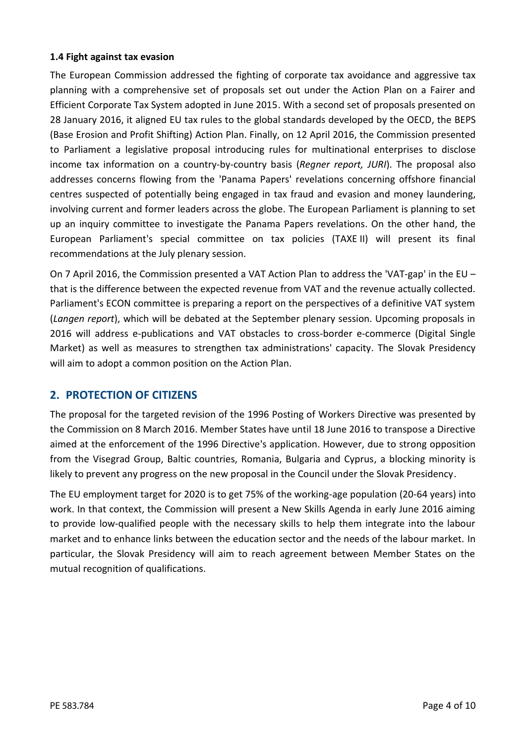## **1.4 Fight against tax evasion**

The European Commission addressed the fighting of corporate tax avoidance and aggressive tax planning with a comprehensive set of proposals set out under the Action Plan on a Fairer and Efficient Corporate Tax System adopted in June 2015. With a second set of proposals presented on 28 January 2016, it aligned EU tax rules to the global standards developed by the OECD, the BEPS (Base Erosion and Profit Shifting) Action Plan. Finally, on 12 April 2016, the Commission presented to Parliament a legislative proposal introducing rules for multinational enterprises to disclose income tax information on a country-by-country basis (*Regner report, JURI*). The proposal also addresses concerns flowing from the 'Panama Papers' revelations concerning offshore financial centres suspected of potentially being engaged in tax fraud and evasion and money laundering, involving current and former leaders across the globe. The European Parliament is planning to set up an inquiry committee to investigate the Panama Papers revelations. On the other hand, the European Parliament's special committee on tax policies (TAXE II) will present its final recommendations at the July plenary session.

On 7 April 2016, the Commission presented a VAT Action Plan to address the 'VAT-gap' in the EU – that is the difference between the expected revenue from VAT and the revenue actually collected. Parliament's ECON committee is preparing a report on the perspectives of a definitive VAT system (*Langen report*), which will be debated at the September plenary session. Upcoming proposals in 2016 will address e-publications and VAT obstacles to cross-border e-commerce (Digital Single Market) as well as measures to strengthen tax administrations' capacity. The Slovak Presidency will aim to adopt a common position on the Action Plan.

# **2. PROTECTION OF CITIZENS**

The proposal for the targeted revision of the 1996 Posting of Workers Directive was presented by the Commission on 8 March 2016. Member States have until 18 June 2016 to transpose a Directive aimed at the enforcement of the 1996 Directive's application. However, due to strong opposition from the Visegrad Group, Baltic countries, Romania, Bulgaria and Cyprus, a blocking minority is likely to prevent any progress on the new proposal in the Council under the Slovak Presidency.

The EU employment target for 2020 is to get 75% of the working-age population (20-64 years) into work. In that context, the Commission will present a New Skills Agenda in early June 2016 aiming to provide low-qualified people with the necessary skills to help them integrate into the labour market and to enhance links between the education sector and the needs of the labour market. In particular, the Slovak Presidency will aim to reach agreement between Member States on the mutual recognition of qualifications.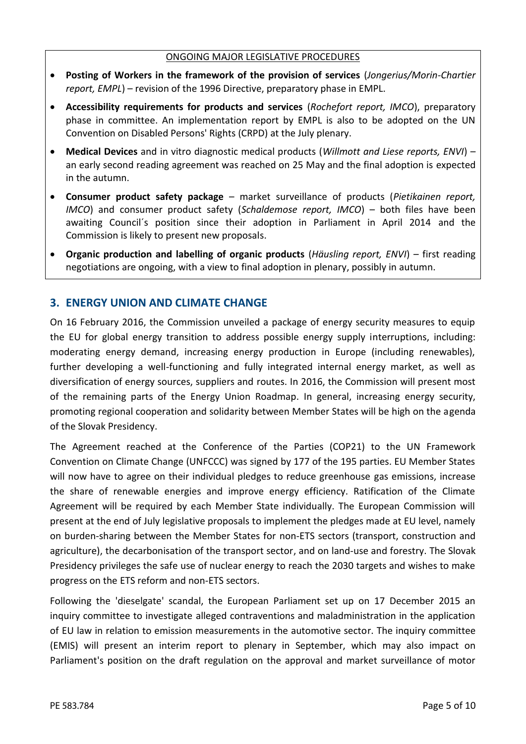#### ONGOING MAJOR LEGISLATIVE PROCEDURES

- **Posting of Workers in the framework of the provision of services** (*Jongerius/Morin-Chartier report, EMPL*) – revision of the 1996 Directive, preparatory phase in EMPL.
- **Accessibility requirements for products and services** (*Rochefort report, IMCO*), preparatory phase in committee. An implementation report by EMPL is also to be adopted on the UN Convention on Disabled Persons' Rights (CRPD) at the July plenary.
- **Medical Devices** and in vitro diagnostic medical products (*Willmott and Liese reports, ENVI*) an early second reading agreement was reached on 25 May and the final adoption is expected in the autumn.
- **Consumer product safety package** market surveillance of products (*Pietikainen report, IMCO*) and consumer product safety (*Schaldemose report, IMCO*) – both files have been awaiting Council´s position since their adoption in Parliament in April 2014 and the Commission is likely to present new proposals.
- **Organic production and labelling of organic products** (*Häusling report, ENVI*) first reading negotiations are ongoing, with a view to final adoption in plenary, possibly in autumn.

# **3. ENERGY UNION AND CLIMATE CHANGE**

On 16 February 2016, the Commission unveiled a package of energy security measures to equip the EU for global energy transition to address possible energy supply interruptions, including: moderating energy demand, increasing energy production in Europe (including renewables), further developing a well-functioning and fully integrated internal energy market, as well as diversification of energy sources, suppliers and routes. In 2016, the Commission will present most of the remaining parts of the Energy Union Roadmap. In general, increasing energy security, promoting regional cooperation and solidarity between Member States will be high on the agenda of the Slovak Presidency.

The Agreement reached at the Conference of the Parties (COP21) to the UN Framework Convention on Climate Change (UNFCCC) was signed by 177 of the 195 parties. EU Member States will now have to agree on their individual pledges to reduce greenhouse gas emissions, increase the share of renewable energies and improve energy efficiency. Ratification of the Climate Agreement will be required by each Member State individually. The European Commission will present at the end of July legislative proposals to implement the pledges made at EU level, namely on burden-sharing between the Member States for non-ETS sectors (transport, construction and agriculture), the decarbonisation of the transport sector, and on land-use and forestry. The Slovak Presidency privileges the safe use of nuclear energy to reach the 2030 targets and wishes to make progress on the ETS reform and non-ETS sectors.

Following the 'dieselgate' scandal, the European Parliament set up on 17 December 2015 an inquiry committee to investigate alleged contraventions and maladministration in the application of EU law in relation to emission measurements in the automotive sector. The inquiry committee (EMIS) will present an interim report to plenary in September, which may also impact on Parliament's position on the draft regulation on the approval and market surveillance of motor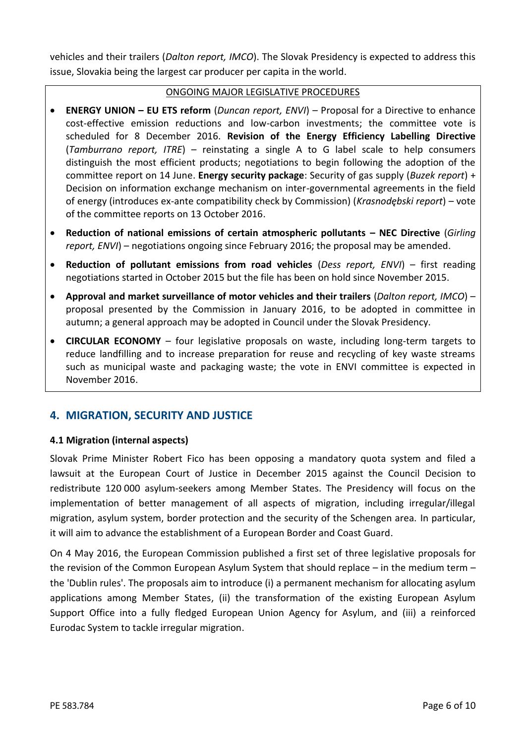vehicles and their trailers (*Dalton report, IMCO*). The Slovak Presidency is expected to address this issue, Slovakia being the largest car producer per capita in the world.

## ONGOING MAJOR LEGISLATIVE PROCEDURES

- **ENERGY UNION – EU ETS reform** (*Duncan report, ENVI*) Proposal for a Directive to enhance cost-effective emission reductions and low-carbon investments; the committee vote is scheduled for 8 December 2016. **Revision of the Energy Efficiency Labelling Directive** (*Tamburrano report, ITRE*) – reinstating a single A to G label scale to help consumers distinguish the most efficient products; negotiations to begin following the adoption of the committee report on 14 June. **Energy security package**: Security of gas supply (*Buzek report*) + Decision on information exchange mechanism on inter-governmental agreements in the field of energy (introduces ex-ante compatibility check by Commission) (*Krasnodębski report*) – vote of the committee reports on 13 October 2016.
- **Reduction of national emissions of certain atmospheric pollutants – NEC Directive** (*Girling report, ENVI*) – negotiations ongoing since February 2016; the proposal may be amended.
- **Reduction of pollutant emissions from road vehicles** (*Dess report, ENVI*) first reading negotiations started in October 2015 but the file has been on hold since November 2015.
- **Approval and market surveillance of motor vehicles and their trailers** (*Dalton report, IMCO*) proposal presented by the Commission in January 2016, to be adopted in committee in autumn; a general approach may be adopted in Council under the Slovak Presidency.
- **CIRCULAR ECONOMY** four legislative proposals on waste, including long-term targets to reduce landfilling and to increase preparation for reuse and recycling of key waste streams such as municipal waste and packaging waste; the vote in ENVI committee is expected in November 2016.

# **4. MIGRATION, SECURITY AND JUSTICE**

## **4.1 Migration (internal aspects)**

Slovak Prime Minister Robert Fico has been opposing a mandatory quota system and filed a lawsuit at the European Court of Justice in December 2015 against the Council Decision to redistribute 120 000 asylum-seekers among Member States. The Presidency will focus on the implementation of better management of all aspects of migration, including irregular/illegal migration, asylum system, border protection and the security of the Schengen area. In particular, it will aim to advance the establishment of a European Border and Coast Guard.

On 4 May 2016, the European Commission published a first set of three legislative proposals for the revision of the Common European Asylum System that should replace – in the medium term – the 'Dublin rules'. The proposals aim to introduce (i) a permanent mechanism for allocating asylum applications among Member States, (ii) the transformation of the existing European Asylum Support Office into a fully fledged European Union Agency for Asylum, and (iii) a reinforced Eurodac System to tackle irregular migration.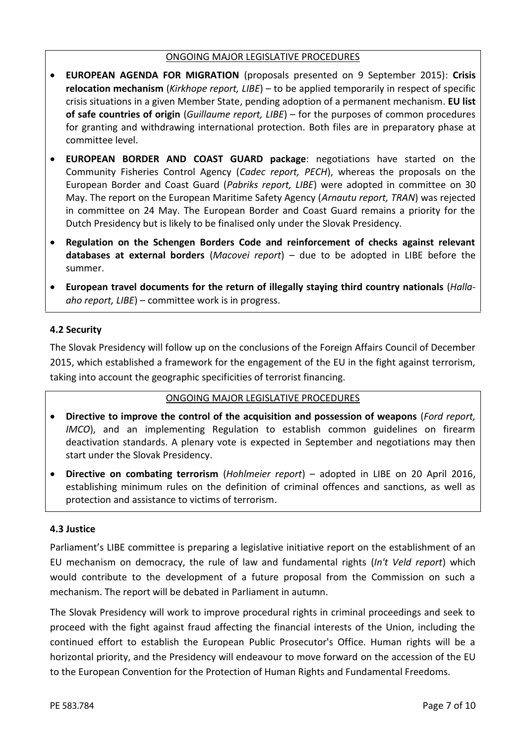#### ONGOING MAJOR LEGISLATIVE PROCEDURES

- **EUROPEAN AGENDA FOR MIGRATION** (proposals presented on 9 September 2015): **Crisis relocation mechanism** (*Kirkhope report, LIBE*) – to be applied temporarily in respect of specific crisis situations in a given Member State, pending adoption of a permanent mechanism. **EU list of safe countries of origin** (*Guillaume report, LIBE*) – for the purposes of common procedures for granting and withdrawing international protection. Both files are in preparatory phase at committee level.
- **EUROPEAN BORDER AND COAST GUARD package**: negotiations have started on the Community Fisheries Control Agency (*Cadec report, PECH*), whereas the proposals on the European Border and Coast Guard (*Pabriks report, LIBE*) were adopted in committee on 30 May. The report on the European Maritime Safety Agency (*Arnautu report, TRAN*) was rejected in committee on 24 May. The European Border and Coast Guard remains a priority for the Dutch Presidency but is likely to be finalised only under the Slovak Presidency.
- **Regulation on the Schengen Borders Code and reinforcement of checks against relevant databases at external borders** (*Macovei report*) – due to be adopted in LIBE before the summer.
- **European travel documents for the return of illegally staying third country nationals** (*Halla aho report, LIBE*) – committee work is in progress.

## **4.2 Security**

The Slovak Presidency will follow up on the conclusions of the Foreign Affairs Council of December 2015, which established a framework for the engagement of the EU in the fight against terrorism, taking into account the geographic specificities of terrorist financing.

#### ONGOING MAJOR LEGISLATIVE PROCEDURES

- **Directive to improve the control of the acquisition and possession of weapons** (*Ford report, IMCO*), and an implementing Regulation to establish common guidelines on firearm deactivation standards. A plenary vote is expected in September and negotiations may then start under the Slovak Presidency.
- **Directive on combating terrorism** (*Hohlmeier report*) adopted in LIBE on 20 April 2016, establishing minimum rules on the definition of criminal offences and sanctions, as well as protection and assistance to victims of terrorism.

#### **4.3 Justice**

Parliament's LIBE committee is preparing a legislative initiative report on the establishment of an EU mechanism on democracy, the rule of law and fundamental rights (*In't Veld report*) which would contribute to the development of a future proposal from the Commission on such a mechanism. The report will be debated in Parliament in autumn.

The Slovak Presidency will work to improve procedural rights in criminal proceedings and seek to proceed with the fight against fraud affecting the financial interests of the Union, including the continued effort to establish the European Public Prosecutor's Office. Human rights will be a horizontal priority, and the Presidency will endeavour to move forward on the accession of the EU to the European Convention for the Protection of Human Rights and Fundamental Freedoms.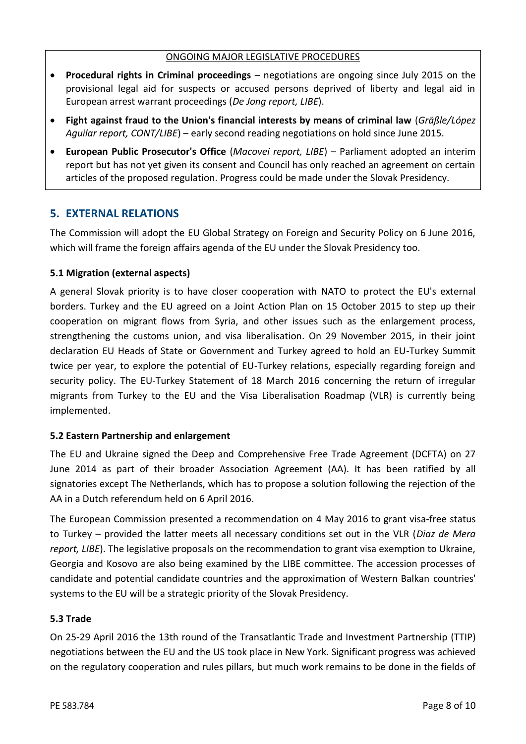#### ONGOING MAJOR LEGISLATIVE PROCEDURES

- **Procedural rights in Criminal proceedings** negotiations are ongoing since July 2015 on the provisional legal aid for suspects or accused persons deprived of liberty and legal aid in European arrest warrant proceedings (*De Jong report, LIBE*).
- **Fight against fraud to the Union's financial interests by means of criminal law** (*Gräßle/López Aguilar report, CONT/LIBE*) – early second reading negotiations on hold since June 2015.
- **European Public Prosecutor's Office** (*Macovei report, LIBE*) Parliament adopted an interim report but has not yet given its consent and Council has only reached an agreement on certain articles of the proposed regulation. Progress could be made under the Slovak Presidency.

# **5. EXTERNAL RELATIONS**

The Commission will adopt the EU Global Strategy on Foreign and Security Policy on 6 June 2016, which will frame the foreign affairs agenda of the EU under the Slovak Presidency too.

## **5.1 Migration (external aspects)**

A general Slovak priority is to have closer cooperation with NATO to protect the EU's external borders. Turkey and the EU agreed on a Joint Action Plan on 15 October 2015 to step up their cooperation on migrant flows from Syria, and other issues such as the enlargement process, strengthening the customs union, and visa liberalisation. On 29 November 2015, in their joint declaration EU Heads of State or Government and Turkey agreed to hold an EU-Turkey Summit twice per year, to explore the potential of EU-Turkey relations, especially regarding foreign and security policy. The EU-Turkey Statement of 18 March 2016 concerning the return of irregular migrants from Turkey to the EU and the Visa Liberalisation Roadmap (VLR) is currently being implemented.

## **5.2 Eastern Partnership and enlargement**

The EU and Ukraine signed the Deep and Comprehensive Free Trade Agreement (DCFTA) on 27 June 2014 as part of their broader Association Agreement (AA). It has been ratified by all signatories except The Netherlands, which has to propose a solution following the rejection of the AA in a Dutch referendum held on 6 April 2016.

The European Commission presented a recommendation on 4 May 2016 to grant visa-free status to Turkey – provided the latter meets all necessary conditions set out in the VLR (*Diaz de Mera report, LIBE*). The legislative proposals on the recommendation to grant visa exemption to Ukraine, Georgia and Kosovo are also being examined by the LIBE committee. The accession processes of candidate and potential candidate countries and the approximation of Western Balkan countries' systems to the EU will be a strategic priority of the Slovak Presidency.

## **5.3 Trade**

On 25-29 April 2016 the 13th round of the Transatlantic Trade and Investment Partnership (TTIP) negotiations between the EU and the US took place in New York. Significant progress was achieved on the regulatory cooperation and rules pillars, but much work remains to be done in the fields of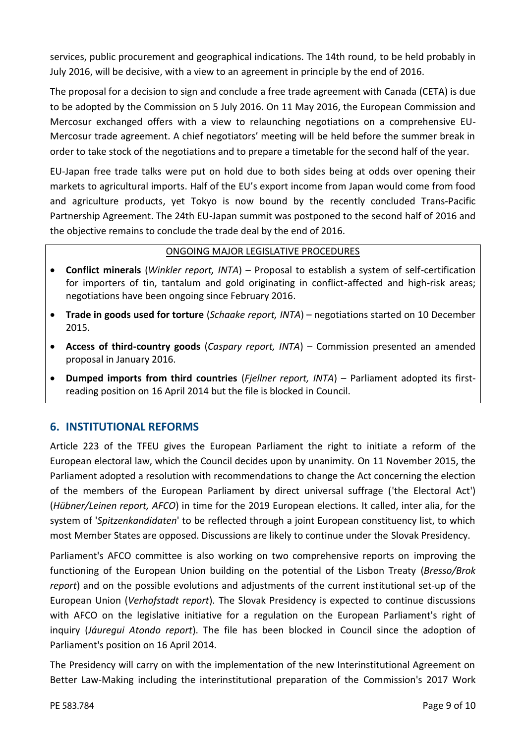services, public procurement and geographical indications. The 14th round, to be held probably in July 2016, will be decisive, with a view to an agreement in principle by the end of 2016.

The proposal for a decision to sign and conclude a free trade agreement with Canada (CETA) is due to be adopted by the Commission on 5 July 2016. On 11 May 2016, the European Commission and Mercosur exchanged offers with a view to relaunching negotiations on a comprehensive EU- Mercosur trade agreement. A chief negotiators' meeting will be held before the summer break in order to take stock of the negotiations and to prepare a timetable for the second half of the year.

EU-Japan free trade talks were put on hold due to both sides being at odds over opening their markets to agricultural imports. Half of the EU's export income from Japan would come from food and agriculture products, yet Tokyo is now bound by the recently concluded Trans-Pacific Partnership Agreement. The 24th EU-Japan summit was postponed to the second half of 2016 and the objective remains to conclude the trade deal by the end of 2016.

## ONGOING MAJOR LEGISLATIVE PROCEDURES

- **Conflict minerals** (*Winkler report, INTA*) Proposal to establish a system of self-certification for importers of tin, tantalum and gold originating in conflict-affected and high-risk areas; negotiations have been ongoing since February 2016.
- **Trade in goods used for torture** (*Schaake report, INTA*) negotiations started on 10 December 2015.
- **Access of third-country goods** (*Caspary report, INTA*) Commission presented an amended proposal in January 2016.
- **Dumped imports from third countries** (*Fjellner report, INTA*) Parliament adopted its first reading position on 16 April 2014 but the file is blocked in Council.

# **6. INSTITUTIONAL REFORMS**

Article 223 of the TFEU gives the European Parliament the right to initiate a reform of the European electoral law, which the Council decides upon by unanimity. On 11 November 2015, the Parliament adopted a resolution with recommendations to change the Act concerning the election of the members of the European Parliament by direct universal suffrage ('the Electoral Act') (*Hübner/Leinen report, AFCO*) in time for the 2019 European elections. It called, inter alia, for the system of '*Spitzenkandidaten*' to be reflected through a joint European constituency list, to which most Member States are opposed. Discussions are likely to continue under the Slovak Presidency.

Parliament's AFCO committee is also working on two comprehensive reports on improving the functioning of the European Union building on the potential of the Lisbon Treaty (*Bresso/Brok report*) and on the possible evolutions and adjustments of the current institutional set-up of the European Union (*Verhofstadt report*). The Slovak Presidency is expected to continue discussions with AFCO on the legislative initiative for a regulation on the European Parliament's right of inquiry (*Jáuregui Atondo report*). The file has been blocked in Council since the adoption of Parliament's position on 16 April 2014.

The Presidency will carry on with the implementation of the new Interinstitutional Agreement on Better Law-Making including the interinstitutional preparation of the Commission's 2017 Work